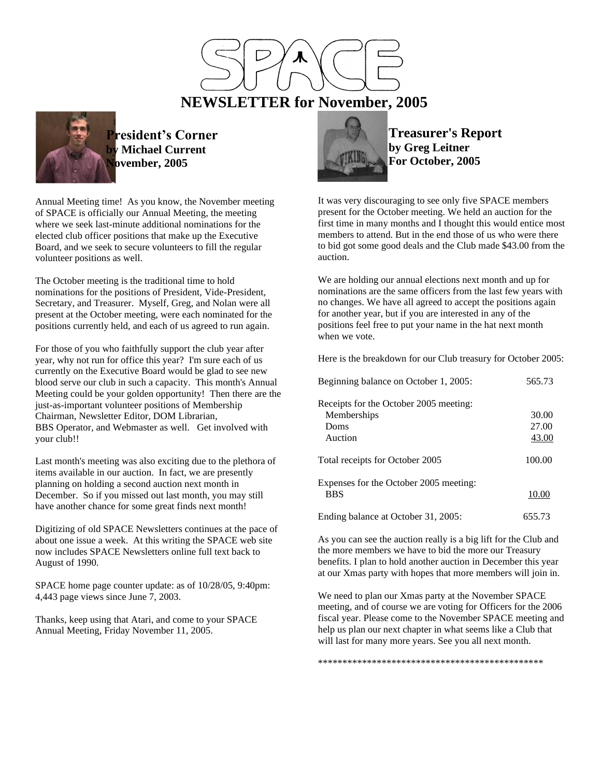

 **NEWSLETTER for November, 2005**



**President's Corner Michael Current November, 2005**

Annual Meeting time! As you know, the November meeting of SPACE is officially our Annual Meeting, the meeting where we seek last-minute additional nominations for the elected club officer positions that make up the Executive Board, and we seek to secure volunteers to fill the regular volunteer positions as well.

The October meeting is the traditional time to hold nominations for the positions of President, Vide-President, Secretary, and Treasurer. Myself, Greg, and Nolan were all present at the October meeting, were each nominated for the positions currently held, and each of us agreed to run again.

For those of you who faithfully support the club year after year, why not run for office this year? I'm sure each of us currently on the Executive Board would be glad to see new blood serve our club in such a capacity. This month's Annual Meeting could be your golden opportunity! Then there are the just-as-important volunteer positions of Membership Chairman, Newsletter Editor, DOM Librarian, BBS Operator, and Webmaster as well. Get involved with your club!!

Last month's meeting was also exciting due to the plethora of items available in our auction. In fact, we are presently planning on holding a second auction next month in December. So if you missed out last month, you may still have another chance for some great finds next month!

Digitizing of old SPACE Newsletters continues at the pace of about one issue a week. At this writing the SPACE web site now includes SPACE Newsletters online full text back to August of 1990.

SPACE home page counter update: as of 10/28/05, 9:40pm: 4,443 page views since June 7, 2003.

Thanks, keep using that Atari, and come to your SPACE Annual Meeting, Friday November 11, 2005.



**Treasurer's Report by Greg Leitner For October, 2005**

It was very discouraging to see only five SPACE members present for the October meeting. We held an auction for the first time in many months and I thought this would entice most members to attend. But in the end those of us who were there to bid got some good deals and the Club made \$43.00 from the auction.

We are holding our annual elections next month and up for nominations are the same officers from the last few years with no changes. We have all agreed to accept the positions again for another year, but if you are interested in any of the positions feel free to put your name in the hat next month when we vote.

Here is the breakdown for our Club treasury for October 2005:

| Beginning balance on October 1, 2005:  | 565.73 |
|----------------------------------------|--------|
| Receipts for the October 2005 meeting: |        |
| Memberships                            | 30.00  |
| Doms                                   | 27.00  |
| Auction                                | 43.00  |
| Total receipts for October 2005        | 100.00 |
| Expenses for the October 2005 meeting: |        |
| <b>BBS</b>                             | 10.00  |
| Ending balance at October 31, 2005:    | 655.73 |

As you can see the auction really is a big lift for the Club and the more members we have to bid the more our Treasury benefits. I plan to hold another auction in December this year at our Xmas party with hopes that more members will join in.

We need to plan our Xmas party at the November SPACE meeting, and of course we are voting for Officers for the 2006 fiscal year. Please come to the November SPACE meeting and help us plan our next chapter in what seems like a Club that will last for many more years. See you all next month.

\*\*\*\*\*\*\*\*\*\*\*\*\*\*\*\*\*\*\*\*\*\*\*\*\*\*\*\*\*\*\*\*\*\*\*\*\*\*\*\*\*\*\*\*\*\*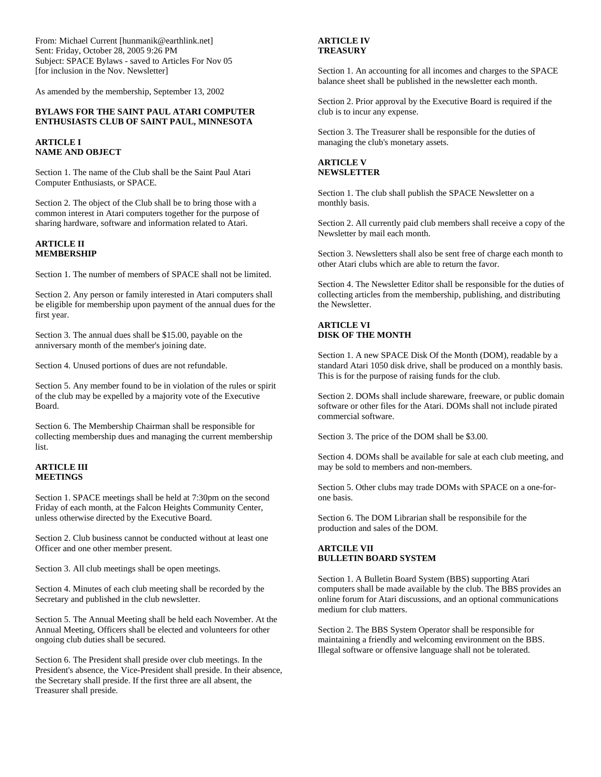From: Michael Current [hunmanik@earthlink.net] Sent: Friday, October 28, 2005 9:26 PM Subject: SPACE Bylaws - saved to Articles For Nov 05 [for inclusion in the Nov. Newsletter]

As amended by the membership, September 13, 2002

#### **BYLAWS FOR THE SAINT PAUL ATARI COMPUTER ENTHUSIASTS CLUB OF SAINT PAUL, MINNESOTA**

**ARTICLE I NAME AND OBJECT**

Section 1. The name of the Club shall be the Saint Paul Atari Computer Enthusiasts, or SPACE.

Section 2. The object of the Club shall be to bring those with a common interest in Atari computers together for the purpose of sharing hardware, software and information related to Atari.

#### **ARTICLE II MEMBERSHIP**

Section 1. The number of members of SPACE shall not be limited.

Section 2. Any person or family interested in Atari computers shall be eligible for membership upon payment of the annual dues for the first year.

Section 3. The annual dues shall be \$15.00, payable on the anniversary month of the member's joining date.

Section 4. Unused portions of dues are not refundable.

Section 5. Any member found to be in violation of the rules or spirit of the club may be expelled by a majority vote of the Executive Board.

Section 6. The Membership Chairman shall be responsible for collecting membership dues and managing the current membership list.

#### **ARTICLE III MEETINGS**

Section 1. SPACE meetings shall be held at 7:30pm on the second Friday of each month, at the Falcon Heights Community Center, unless otherwise directed by the Executive Board.

Section 2. Club business cannot be conducted without at least one Officer and one other member present.

Section 3. All club meetings shall be open meetings.

Section 4. Minutes of each club meeting shall be recorded by the Secretary and published in the club newsletter.

Section 5. The Annual Meeting shall be held each November. At the Annual Meeting, Officers shall be elected and volunteers for other ongoing club duties shall be secured.

Section 6. The President shall preside over club meetings. In the President's absence, the Vice-President shall preside. In their absence, the Secretary shall preside. If the first three are all absent, the Treasurer shall preside.

#### **ARTICLE IV TREASURY**

Section 1. An accounting for all incomes and charges to the SPACE balance sheet shall be published in the newsletter each month.

Section 2. Prior approval by the Executive Board is required if the club is to incur any expense.

Section 3. The Treasurer shall be responsible for the duties of managing the club's monetary assets.

## **ARTICLE V NEWSLETTER**

Section 1. The club shall publish the SPACE Newsletter on a monthly basis.

Section 2. All currently paid club members shall receive a copy of the Newsletter by mail each month.

Section 3. Newsletters shall also be sent free of charge each month to other Atari clubs which are able to return the favor.

Section 4. The Newsletter Editor shall be responsible for the duties of collecting articles from the membership, publishing, and distributing the Newsletter.

### **ARTICLE VI DISK OF THE MONTH**

Section 1. A new SPACE Disk Of the Month (DOM), readable by a standard Atari 1050 disk drive, shall be produced on a monthly basis. This is for the purpose of raising funds for the club.

Section 2. DOMs shall include shareware, freeware, or public domain software or other files for the Atari. DOMs shall not include pirated commercial software.

Section 3. The price of the DOM shall be \$3.00.

Section 4. DOMs shall be available for sale at each club meeting, and may be sold to members and non-members.

Section 5. Other clubs may trade DOMs with SPACE on a one-forone basis.

Section 6. The DOM Librarian shall be responsibile for the production and sales of the DOM.

### **ARTCILE VII BULLETIN BOARD SYSTEM**

Section 1. A Bulletin Board System (BBS) supporting Atari computers shall be made available by the club. The BBS provides an online forum for Atari discussions, and an optional communications medium for club matters.

Section 2. The BBS System Operator shall be responsible for maintaining a friendly and welcoming environment on the BBS. Illegal software or offensive language shall not be tolerated.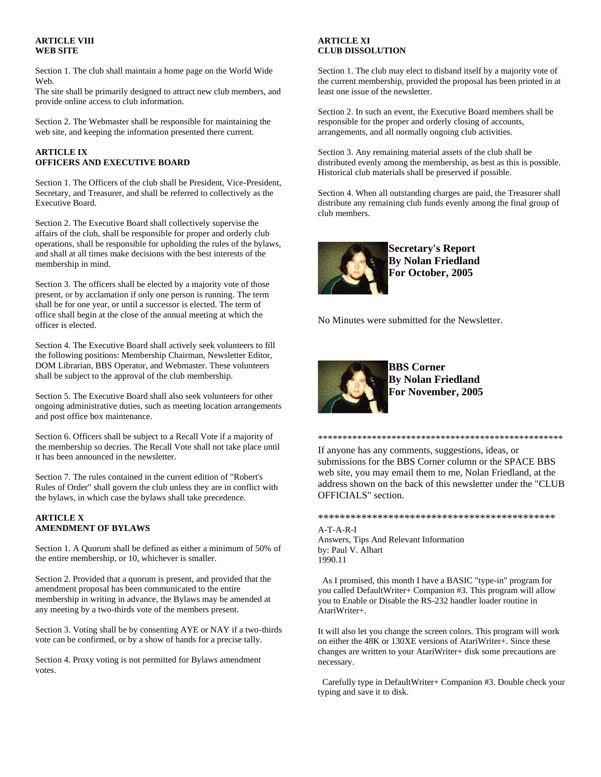### **ARTICLE VIII WEB SITE**

Section 1. The club shall maintain a home page on the World Wide Web.

The site shall be primarily designed to attract new club members, and provide online access to club information.

Section 2. The Webmaster shall be responsible for maintaining the web site, and keeping the information presented there current.

# **ARTICLE IX OFFICERS AND EXECUTIVE BOARD**

Section 1. The Officers of the club shall be President, Vice-President, Secretary, and Treasurer, and shall be referred to collectively as the Executive Board.

Section 2. The Executive Board shall collectively supervise the affairs of the club, shall be responsible for proper and orderly club operations, shall be responsible for upholding the rules of the bylaws, and shall at all times make decisions with the best interests of the membership in mind.

Section 3. The officers shall be elected by a majority vote of those present, or by acclamation if only one person is running. The term shall be for one year, or until a successor is elected. The term of office shall begin at the close of the annual meeting at which the officer is elected.

Section 4. The Executive Board shall actively seek volunteers to fill the following positions: Membership Chairman, Newsletter Editor, DOM Librarian, BBS Operator, and Webmaster. These volunteers shall be subject to the approval of the club membership.

Section 5. The Executive Board shall also seek volunteers for other ongoing administrative duties, such as meeting location arrangements and post office box maintenance.

Section 6. Officers shall be subject to a Recall Vote if a majority of the membership so decries. The Recall Vote shall not take place until it has been announced in the newsletter.

Section 7. The rules contained in the current edition of "Robert's Rules of Order" shall govern the club unless they are in conflict with the bylaws, in which case the bylaws shall take precedence.

## **ARTICLE X AMENDMENT OF BYLAWS**

Section 1. A Quorum shall be defined as either a minimum of 50% of the entire membership, or 10, whichever is smaller.

Section 2. Provided that a quorum is present, and provided that the amendment proposal has been communicated to the entire membership in writing in advance, the Bylaws may be amended at any meeting by a two-thirds vote of the members present.

Section 3. Voting shall be by consenting AYE or NAY if a two-thirds vote can be confirmed, or by a show of hands for a precise tally.

Section 4. Proxy voting is not permitted for Bylaws amendment votes.

## **ARTICLE XI CLUB DISSOLUTION**

Section 1. The club may elect to disband itself by a majority vote of the current membership, provided the proposal has been printed in at least one issue of the newsletter.

Section 2. In such an event, the Executive Board members shall be responsible for the proper and orderly closing of accounts, arrangements, and all normally ongoing club activities.

Section 3. Any remaining material assets of the club shall be distributed evenly among the membership, as best as this is possible. Historical club materials shall be preserved if possible.

Section 4. When all outstanding charges are paid, the Treasurer shall distribute any remaining club funds evenly among the final group of club members.



**Secretary's Report By Nolan Friedland For October, 2005**

No Minutes were submitted for the Newsletter.



**BBS Corner By Nolan Friedland For November, 2005**

If anyone has any comments, suggestions, ideas, or submissions for the BBS Corner column or the SPACE BBS web site, you may email them to me, Nolan Friedland, at the address shown on the back of this newsletter under the "CLUB OFFICIALS" section.

\*\*\*\*\*\*\*\*\*\*\*\*\*\*\*\*\*\*\*\*\*\*\*\*\*\*\*\*\*\*\*\*\*\*\*\*\*\*\*\*\*\*\*\*\*\*\*\*\*\*

\*\*\*\*\*\*\*\*\*\*\*\*\*\*\*\*\*\*\*\*\*\*\*\*\*\*\*\*\*\*\*\*\*\*\*\*\*\*\*\*\*\*\*\*

A-T-A-R-I Answers, Tips And Relevant Information by: Paul V. Alhart 1990.11

 As I promised, this month I have a BASIC "type-in" program for you called DefaultWriter+ Companion #3. This program will allow you to Enable or Disable the RS-232 handler loader routine in AtariWriter+.

It will also let you change the screen colors. This program will work on either the 48K or 130XE versions of AtariWriter+. Since these changes are written to your AtariWriter+ disk some precautions are necessary.

 Carefully type in DefaultWriter+ Companion #3. Double check your typing and save it to disk.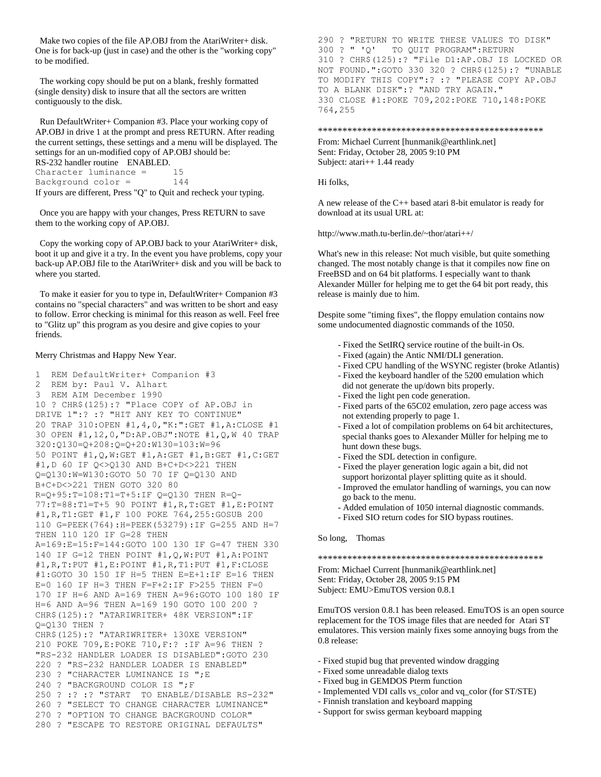Make two copies of the file AP.OBJ from the AtariWriter+ disk. One is for back-up (just in case) and the other is the "working copy" to be modified.

 The working copy should be put on a blank, freshly formatted (single density) disk to insure that all the sectors are written contiguously to the disk.

 Run DefaultWriter+ Companion #3. Place your working copy of AP.OBJ in drive 1 at the prompt and press RETURN. After reading the current settings, these settings and a menu will be displayed. The settings for an un-modified copy of AP.OBJ should be: RS-232 handler routine ENABLED. Character luminance = 15 Background color = 144

If yours are different, Press "Q" to Quit and recheck your typing.

 Once you are happy with your changes, Press RETURN to save them to the working copy of AP.OBJ.

 Copy the working copy of AP.OBJ back to your AtariWriter+ disk, boot it up and give it a try. In the event you have problems, copy your back-up AP.OBJ file to the AtariWriter+ disk and you will be back to where you started.

 To make it easier for you to type in, DefaultWriter+ Companion #3 contains no "special characters" and was written to be short and easy to follow. Error checking is minimal for this reason as well. Feel free to "Glitz up" this program as you desire and give copies to your friends.

#### Merry Christmas and Happy New Year.

1 REM DefaultWriter+ Companion #3 2 REM by: Paul V. Alhart 3 REM AIM December 1990 10 ? CHR\$(125):? "Place COPY of AP.OBJ in DRIVE 1":? :? "HIT ANY KEY TO CONTINUE" 20 TRAP 310:OPEN #1,4,0,"K:":GET #1,A:CLOSE #1 30 OPEN #1,12,0,"D:AP.OBJ":NOTE #1,Q,W 40 TRAP 320:Q130=Q+208:Q=Q+20:W130=103:W=96 50 POINT #1,Q,W:GET #1,A:GET #1,B:GET #1,C:GET #1,D 60 IF Q<>Q130 AND B+C+D<>221 THEN Q=Q130:W=W130:GOTO 50 70 IF Q=Q130 AND B+C+D<>221 THEN GOTO 320 80 R=Q+95:T=108:T1=T+5:IF Q=Q130 THEN R=Q-77:T=88:T1=T+5 90 POINT #1,R,T:GET #1,E:POINT #1,R,T1:GET #1,F 100 POKE 764,255:GOSUB 200 110 G=PEEK(764):H=PEEK(53279):IF G=255 AND H=7 THEN 110 120 IF G=28 THEN A=169:E=15:F=144:GOTO 100 130 IF G=47 THEN 330 140 IF G=12 THEN POINT #1,Q,W:PUT #1,A:POINT #1,R,T:PUT #1,E:POINT #1,R,T1:PUT #1,F:CLOSE #1:GOTO 30 150 IF H=5 THEN E=E+1:IF E=16 THEN E=0 160 IF H=3 THEN F=F+2:IF F>255 THEN F=0 170 IF H=6 AND A=169 THEN A=96:GOTO 100 180 IF H=6 AND A=96 THEN A=169 190 GOTO 100 200 ? CHR\$(125):? "ATARIWRITER+ 48K VERSION":IF Q=Q130 THEN ? CHR\$(125):? "ATARIWRITER+ 130XE VERSION" 210 POKE 709,E:POKE 710,F:? :IF A=96 THEN ? "RS-232 HANDLER LOADER IS DISABLED":GOTO 230 220 ? "RS-232 HANDLER LOADER IS ENABLED" 230 ? "CHARACTER LUMINANCE IS ";E 240 ? "BACKGROUND COLOR IS ";F 250 ? :? :? "START TO ENABLE/DISABLE RS-232" 260 ? "SELECT TO CHANGE CHARACTER LUMINANCE" 270 ? "OPTION TO CHANGE BACKGROUND COLOR" 280 ? "ESCAPE TO RESTORE ORIGINAL DEFAULTS"

290 ? "RETURN TO WRITE THESE VALUES TO DISK"<br>300 ? " 'O' TO OUIT PROGRAM":RETURN TO QUIT PROGRAM":RETURN 310 ? CHR\$(125):? "File D1:AP.OBJ IS LOCKED OR NOT FOUND.":GOTO 330 320 ? CHR\$(125):? "UNABLE TO MODIFY THIS COPY":? :? "PLEASE COPY AP.OBJ TO A BLANK DISK":? "AND TRY AGAIN." 330 CLOSE #1:POKE 709,202:POKE 710,148:POKE 764,255

#### \*\*\*\*\*\*\*\*\*\*\*\*\*\*\*\*\*\*\*\*\*\*\*\*\*\*\*\*\*\*\*\*\*\*\*\*\*\*\*\*\*\*\*\*\*\*

From: Michael Current [hunmanik@earthlink.net] Sent: Friday, October 28, 2005 9:10 PM Subject: atari++ 1.44 ready

Hi folks,

A new release of the C++ based atari 8-bit emulator is ready for download at its usual URL at:

http://www.math.tu-berlin.de/~thor/atari++/

What's new in this release: Not much visible, but quite something changed. The most notably change is that it compiles now fine on FreeBSD and on 64 bit platforms. I especially want to thank Alexander Müller for helping me to get the 64 bit port ready, this release is mainly due to him.

Despite some "timing fixes", the floppy emulation contains now some undocumented diagnostic commands of the 1050.

- Fixed the SetIRQ service routine of the built-in Os.
- Fixed (again) the Antic NMI/DLI generation.
- Fixed CPU handling of the WSYNC register (broke Atlantis)
- Fixed the keyboard handler of the 5200 emulation which
- did not generate the up/down bits properly.
- Fixed the light pen code generation.
- Fixed parts of the 65C02 emulation, zero page access was not extending properly to page 1.
- Fixed a lot of compilation problems on 64 bit architectures, special thanks goes to Alexander Müller for helping me to hunt down these bugs.
- Fixed the SDL detection in configure.
- Fixed the player generation logic again a bit, did not
- support horizontal player splitting quite as it should.
- Improved the emulator handling of warnings, you can now go back to the menu.
- Added emulation of 1050 internal diagnostic commands.
- Fixed SIO return codes for SIO bypass routines.

So long, Thomas

\*\*\*\*\*\*\*\*\*\*\*\*\*\*\*\*\*\*\*\*\*\*\*\*\*\*\*\*\*\*\*\*\*\*\*\*\*\*\*\*\*\*\*\*\*\*

From: Michael Current [hunmanik@earthlink.net] Sent: Friday, October 28, 2005 9:15 PM Subject: EMU>EmuTOS version 0.8.1

EmuTOS version 0.8.1 has been released. EmuTOS is an open source replacement for the TOS image files that are needed for Atari ST emulatores. This version mainly fixes some annoying bugs from the 0.8 release:

- Fixed stupid bug that prevented window dragging
- Fixed some unreadable dialog texts
- Fixed bug in GEMDOS Pterm function
- Implemented VDI calls vs\_color and vq\_color (for ST/STE)
- Finnish translation and keyboard mapping
- Support for swiss german keyboard mapping